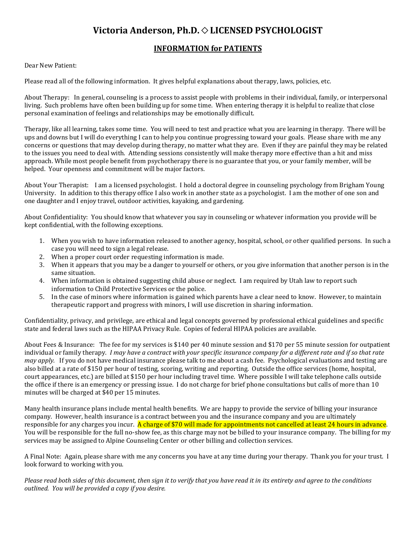## Victoria Anderson, Ph.D.  $\diamond$  LICENSED PSYCHOLOGIST

## **INFORMATION for PATIENTS**

## Dear New Patient:

Please read all of the following information. It gives helpful explanations about therapy, laws, policies, etc.

About Therapy: In general, counseling is a process to assist people with problems in their individual, family, or interpersonal living. Such problems have often been building up for some time. When entering therapy it is helpful to realize that close personal examination of feelings and relationships may be emotionally difficult.

Therapy, like all learning, takes some time. You will need to test and practice what you are learning in therapy. There will be ups and downs but I will do everything I can to help you continue progressing toward your goals. Please share with me any concerns or questions that may develop during therapy, no matter what they are. Even if they are painful they may be related to the issues you need to deal with. Attending sessions consistently will make therapy more effective than a hit and miss approach. While most people benefit from psychotherapy there is no guarantee that you, or your family member, will be helped. Your openness and commitment will be major factors.

About Your Therapist: I am a licensed psychologist. I hold a doctoral degree in counseling psychology from Brigham Young University. In addition to this therapy office I also work in another state as a psychologist. I am the mother of one son and one daughter and I enjoy travel, outdoor activities, kayaking, and gardening.

About Confidentiality: You should know that whatever you say in counseling or whatever information you provide will be kept confidential, with the following exceptions.

- 1. When you wish to have information released to another agency, hospital, school, or other qualified persons. In such a case you will need to sign a legal release.
- 2. When a proper court order requesting information is made.
- 3. When it appears that you may be a danger to yourself or others, or you give information that another person is in the same situation.
- 4. When information is obtained suggesting child abuse or neglect. I am required by Utah law to report such information to Child Protective Services or the police.
- 5. In the case of minors where information is gained which parents have a clear need to know. However, to maintain therapeutic rapport and progress with minors, I will use discretion in sharing information.

Confidentiality, privacy, and privilege, are ethical and legal concepts governed by professional ethical guidelines and specific state and federal laws such as the HIPAA Privacy Rule. Copies of federal HIPAA policies are available.

About Fees & Insurance: The fee for my services is \$140 per 40 minute session and \$170 per 55 minute session for outpatient individual or family therapy. *I may have a contract with your specific insurance company for a different rate and if so that rate may apply.* If you do not have medical insurance please talk to me about a cash fee. Psychological evaluations and testing are also billed at a rate of \$150 per hour of testing, scoring, writing and reporting. Outside the office services (home, hospital, court appearances, etc.) are billed at \$150 per hour including travel time. Where possible I will take telephone calls outside the office if there is an emergency or pressing issue. I do not charge for brief phone consultations but calls of more than 10 minutes will be charged at \$40 per 15 minutes.

Many health insurance plans include mental health benefits. We are happy to provide the service of billing your insurance company. However, health insurance is a contract between you and the insurance company and you are ultimately responsible for any charges you incur. A charge of \$70 will made for appointments not cancelled at least 24 hours in advance. You will be responsible for the full no-show fee, as this charge may not be billed to your insurance company. The billing for my services may be assigned to Alpine Counseling Center or other billing and collection services.

A Final Note: Again, please share with me any concerns you have at any time during your therapy. Thank you for your trust. I look forward to working with you.

*Please read both sides of this document, then sign it to verify that you have read it in its entirety and agree to the conditions outlined. You will be provided a copy if you desire.*